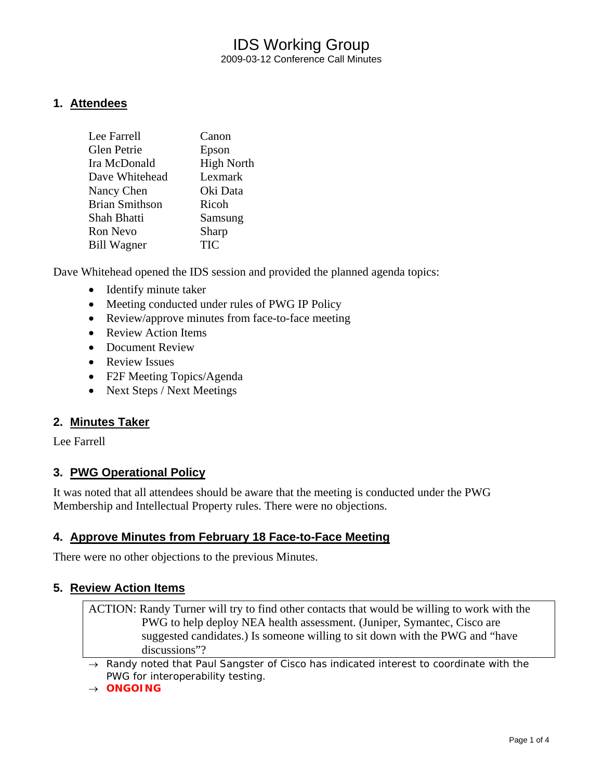## IDS Working Group 2009-03-12 Conference Call Minutes

### **1. Attendees**

| Lee Farrell           | Canon             |
|-----------------------|-------------------|
| Glen Petrie           | Epson             |
| Ira McDonald          | <b>High North</b> |
| Dave Whitehead        | Lexmark           |
| Nancy Chen            | Oki Data          |
| <b>Brian Smithson</b> | Ricoh             |
| Shah Bhatti           | Samsung           |
| Ron Nevo              | Sharp             |
| <b>Bill Wagner</b>    | <b>TIC</b>        |
|                       |                   |

Dave Whitehead opened the IDS session and provided the planned agenda topics:

- Identify minute taker
- Meeting conducted under rules of PWG IP Policy
- Review/approve minutes from face-to-face meeting
- Review Action Items
- Document Review
- Review Issues
- F2F Meeting Topics/Agenda
- Next Steps / Next Meetings

### **2. Minutes Taker**

Lee Farrell

### **3. PWG Operational Policy**

It was noted that all attendees should be aware that the meeting is conducted under the PWG Membership and Intellectual Property rules. There were no objections.

### **4. Approve Minutes from February 18 Face-to-Face Meeting**

There were no other objections to the previous Minutes.

### **5. Review Action Items**

ACTION: Randy Turner will try to find other contacts that would be willing to work with the PWG to help deploy NEA health assessment. (Juniper, Symantec, Cisco are suggested candidates.) Is someone willing to sit down with the PWG and "have discussions"?

→ *Randy noted that Paul Sangster of Cisco has indicated interest to coordinate with the PWG for interoperability testing.* 

#### → *ONGOING*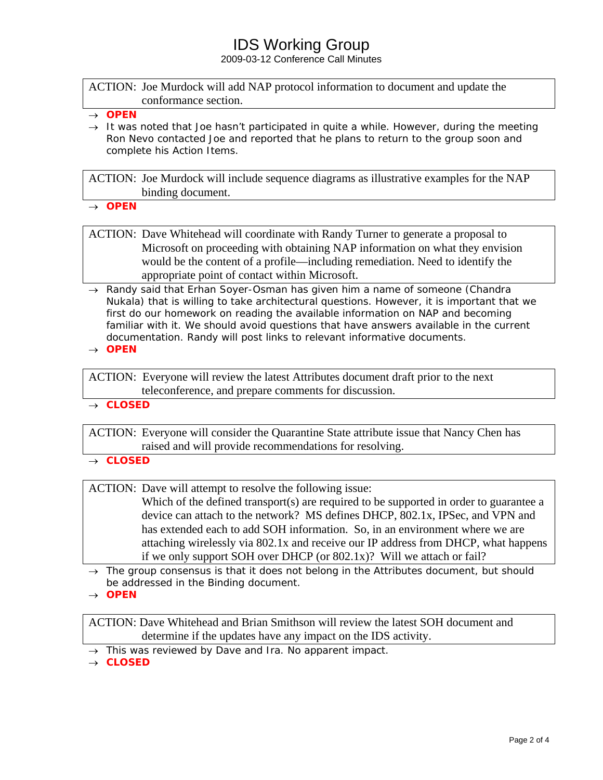# IDS Working Group

2009-03-12 Conference Call Minutes

ACTION: Joe Murdock will add NAP protocol information to document and update the conformance section.

→ *It was noted that Joe hasn't participated in quite a while. However, during the meeting Ron Nevo contacted Joe and reported that he plans to return to the group soon and complete his Action Items.* 

ACTION: Joe Murdock will include sequence diagrams as illustrative examples for the NAP binding document.

→ *OPEN* 

ACTION: Dave Whitehead will coordinate with Randy Turner to generate a proposal to Microsoft on proceeding with obtaining NAP information on what they envision would be the content of a profile—including remediation. Need to identify the appropriate point of contact within Microsoft.

→ *Randy said that Erhan Soyer-Osman has given him a name of someone (Chandra Nukala) that is willing to take architectural questions. However, it is important that we*  first do our homework on reading the available information on NAP and becoming familiar with it. We should avoid questions that have answers available in the current *documentation. Randy will post links to relevant informative documents.* 

→ *OPEN* 

ACTION: Everyone will review the latest Attributes document draft prior to the next teleconference, and prepare comments for discussion.

→ *CLOSED* 

ACTION: Everyone will consider the Quarantine State attribute issue that Nancy Chen has raised and will provide recommendations for resolving.

→ *CLOSED*

ACTION: Dave will attempt to resolve the following issue:

Which of the defined transport(s) are required to be supported in order to guarantee a device can attach to the network? MS defines DHCP, 802.1x, IPSec, and VPN and has extended each to add SOH information. So, in an environment where we are attaching wirelessly via 802.1x and receive our IP address from DHCP, what happens if we only support SOH over DHCP (or 802.1x)? Will we attach or fail?

- → *The group consensus is that it does not belong in the Attributes document, but should be addressed in the Binding document.*
- → *OPEN*

ACTION: Dave Whitehead and Brian Smithson will review the latest SOH document and determine if the updates have any impact on the IDS activity.

- → *This was reviewed by Dave and Ira. No apparent impact.*
- → *CLOSED*

<sup>→</sup> *OPEN*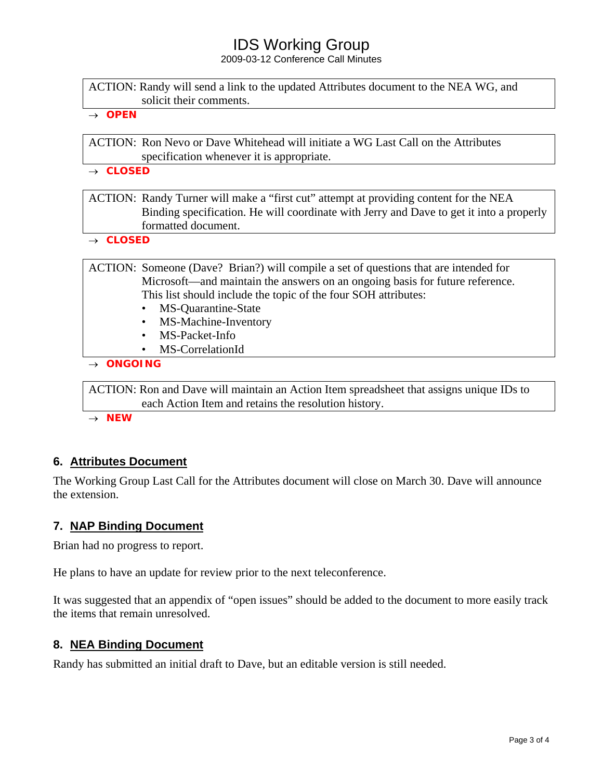## IDS Working Group

2009-03-12 Conference Call Minutes

| ACTION: Randy will send a link to the updated Attributes document to the NEA WG, and |  |
|--------------------------------------------------------------------------------------|--|
| solicit their comments.                                                              |  |

→ *OPEN* 

ACTION: Ron Nevo or Dave Whitehead will initiate a WG Last Call on the Attributes specification whenever it is appropriate.

→ *CLOSED* 

ACTION: Randy Turner will make a "first cut" attempt at providing content for the NEA Binding specification. He will coordinate with Jerry and Dave to get it into a properly formatted document.

→ *CLOSED* 

ACTION: Someone (Dave? Brian?) will compile a set of questions that are intended for Microsoft—and maintain the answers on an ongoing basis for future reference. This list should include the topic of the four SOH attributes:

- MS-Quarantine-State
- MS-Machine-Inventory
- MS-Packet-Info
- MS-CorrelationId

→ *ONGOING* 

ACTION: Ron and Dave will maintain an Action Item spreadsheet that assigns unique IDs to each Action Item and retains the resolution history.

→ *NEW* 

### **6. Attributes Document**

The Working Group Last Call for the Attributes document will close on March 30. Dave will announce the extension.

### **7. NAP Binding Document**

Brian had no progress to report.

He plans to have an update for review prior to the next teleconference.

It was suggested that an appendix of "open issues" should be added to the document to more easily track the items that remain unresolved.

### **8. NEA Binding Document**

Randy has submitted an initial draft to Dave, but an editable version is still needed.